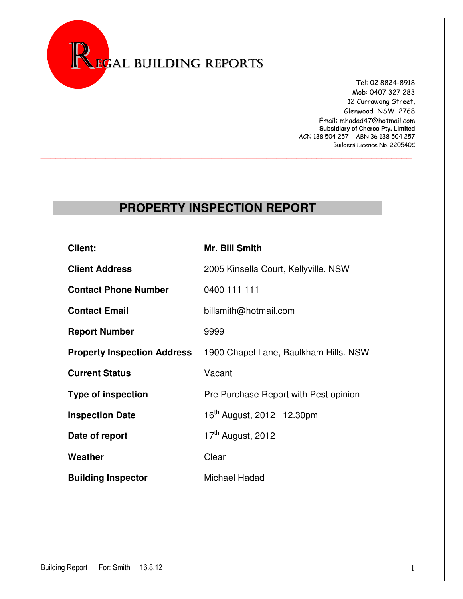

 Tel: 02 8824-8918 Mob: 0407 327 283 12 Currawong Street, Glenwood NSW 2768 Email: mhadad47@hotmail.com **Subsidiary of Cherco Pty. Limited**  ACN 138 504 257 ABN 36 138 504 257 Builders Licence No. 220540C

### **PROPERTY INSPECTION REPORT**

**\_\_\_\_\_\_\_\_\_\_\_\_\_\_\_\_\_\_\_\_\_\_\_\_\_\_\_\_\_\_\_\_\_\_\_\_\_\_\_\_\_\_\_\_\_\_\_\_\_\_\_\_\_\_\_\_\_\_\_\_\_\_\_\_\_\_\_\_\_\_\_\_\_\_**

| Client:                            | Mr. Bill Smith                        |  |  |  |  |  |
|------------------------------------|---------------------------------------|--|--|--|--|--|
| <b>Client Address</b>              | 2005 Kinsella Court, Kellyville. NSW  |  |  |  |  |  |
| <b>Contact Phone Number</b>        | 0400 111 111                          |  |  |  |  |  |
| <b>Contact Email</b>               | billsmith@hotmail.com                 |  |  |  |  |  |
| <b>Report Number</b>               | 9999                                  |  |  |  |  |  |
| <b>Property Inspection Address</b> | 1900 Chapel Lane, Baulkham Hills. NSW |  |  |  |  |  |
| <b>Current Status</b>              | Vacant                                |  |  |  |  |  |
| <b>Type of inspection</b>          | Pre Purchase Report with Pest opinion |  |  |  |  |  |
| <b>Inspection Date</b>             | 16 <sup>th</sup> August, 2012 12.30pm |  |  |  |  |  |
| Date of report                     | 17 <sup>th</sup> August, 2012         |  |  |  |  |  |
| Weather                            | Clear                                 |  |  |  |  |  |
| <b>Building Inspector</b>          | Michael Hadad                         |  |  |  |  |  |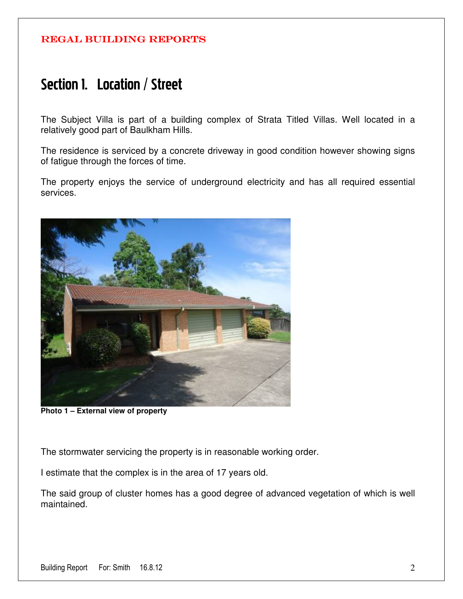## Section 1. Location / Street

The Subject Villa is part of a building complex of Strata Titled Villas. Well located in a relatively good part of Baulkham Hills.

The residence is serviced by a concrete driveway in good condition however showing signs of fatigue through the forces of time.

The property enjoys the service of underground electricity and has all required essential services.



**Photo 1 – External view of property** 

The stormwater servicing the property is in reasonable working order.

I estimate that the complex is in the area of 17 years old.

The said group of cluster homes has a good degree of advanced vegetation of which is well maintained.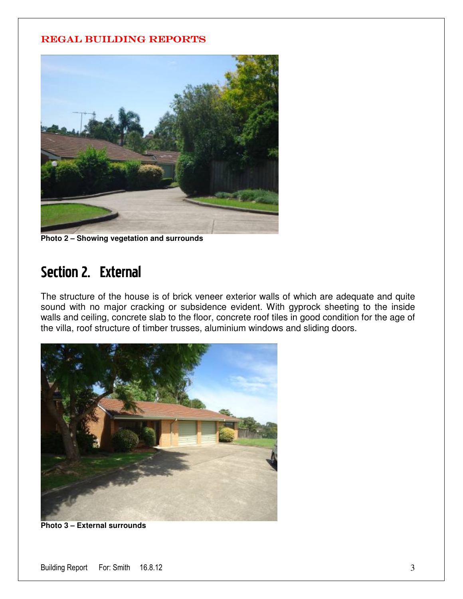

**Photo 2 – Showing vegetation and surrounds** 

# Section 2. External

The structure of the house is of brick veneer exterior walls of which are adequate and quite sound with no major cracking or subsidence evident. With gyprock sheeting to the inside walls and ceiling, concrete slab to the floor, concrete roof tiles in good condition for the age of the villa, roof structure of timber trusses, aluminium windows and sliding doors.



**Photo 3 – External surrounds**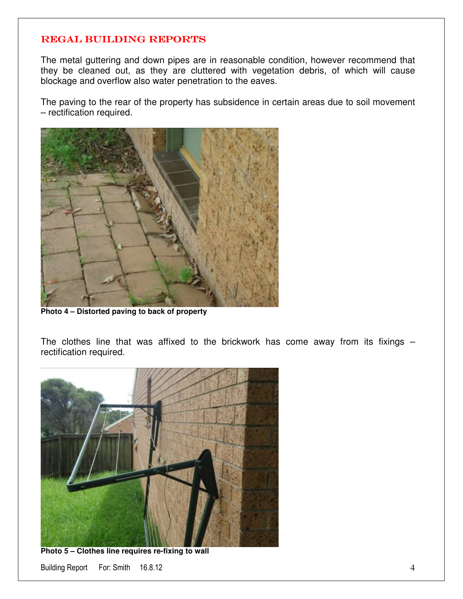The metal guttering and down pipes are in reasonable condition, however recommend that they be cleaned out, as they are cluttered with vegetation debris, of which will cause blockage and overflow also water penetration to the eaves.

The paving to the rear of the property has subsidence in certain areas due to soil movement – rectification required.



**Photo 4 – Distorted paving to back of property** 

The clothes line that was affixed to the brickwork has come away from its fixings  $$ rectification required.



**Photo 5 – Clothes line requires re-fixing to wall** 

Building Report For: Smith 16.8.12 4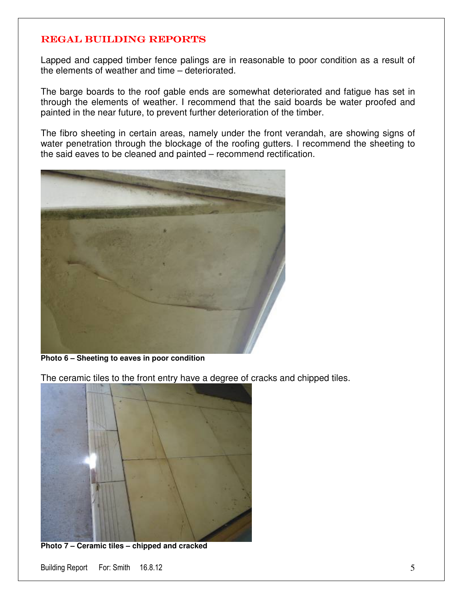Lapped and capped timber fence palings are in reasonable to poor condition as a result of the elements of weather and time – deteriorated.

The barge boards to the roof gable ends are somewhat deteriorated and fatigue has set in through the elements of weather. I recommend that the said boards be water proofed and painted in the near future, to prevent further deterioration of the timber.

The fibro sheeting in certain areas, namely under the front verandah, are showing signs of water penetration through the blockage of the roofing gutters. I recommend the sheeting to the said eaves to be cleaned and painted – recommend rectification.



**Photo 6 – Sheeting to eaves in poor condition** 

The ceramic tiles to the front entry have a degree of cracks and chipped tiles.



**Photo 7 – Ceramic tiles – chipped and cracked** 

Building Report For: Smith 16.8.12 5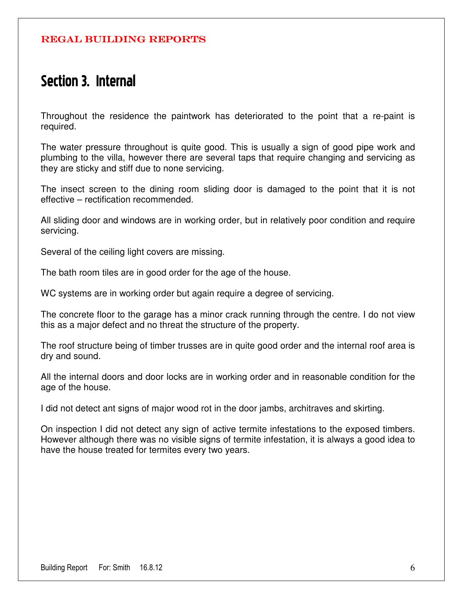### Section 3. Internal

Throughout the residence the paintwork has deteriorated to the point that a re-paint is required.

The water pressure throughout is quite good. This is usually a sign of good pipe work and plumbing to the villa, however there are several taps that require changing and servicing as they are sticky and stiff due to none servicing.

The insect screen to the dining room sliding door is damaged to the point that it is not effective – rectification recommended.

All sliding door and windows are in working order, but in relatively poor condition and require servicing.

Several of the ceiling light covers are missing.

The bath room tiles are in good order for the age of the house.

WC systems are in working order but again require a degree of servicing.

The concrete floor to the garage has a minor crack running through the centre. I do not view this as a major defect and no threat the structure of the property.

The roof structure being of timber trusses are in quite good order and the internal roof area is dry and sound.

All the internal doors and door locks are in working order and in reasonable condition for the age of the house.

I did not detect ant signs of major wood rot in the door jambs, architraves and skirting.

On inspection I did not detect any sign of active termite infestations to the exposed timbers. However although there was no visible signs of termite infestation, it is always a good idea to have the house treated for termites every two years.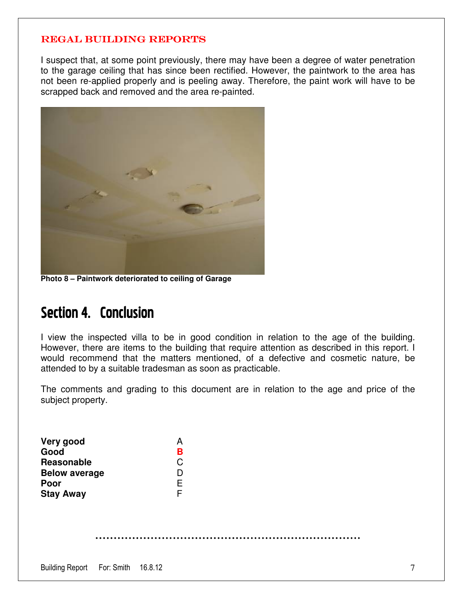I suspect that, at some point previously, there may have been a degree of water penetration to the garage ceiling that has since been rectified. However, the paintwork to the area has not been re-applied properly and is peeling away. Therefore, the paint work will have to be scrapped back and removed and the area re-painted.



**Photo 8 – Paintwork deteriorated to ceiling of Garage** 

## Section 4. Conclusion

I view the inspected villa to be in good condition in relation to the age of the building. However, there are items to the building that require attention as described in this report. I would recommend that the matters mentioned, of a defective and cosmetic nature, be attended to by a suitable tradesman as soon as practicable.

The comments and grading to this document are in relation to the age and price of the subject property.

| Very good                          |  | A |  |  |  |   |
|------------------------------------|--|---|--|--|--|---|
| Good                               |  | в |  |  |  |   |
| Reasonable                         |  | C |  |  |  |   |
| <b>Below average</b>               |  | D |  |  |  |   |
| Poor                               |  | Ε |  |  |  |   |
| <b>Stay Away</b>                   |  | F |  |  |  |   |
|                                    |  |   |  |  |  |   |
|                                    |  |   |  |  |  |   |
|                                    |  |   |  |  |  |   |
|                                    |  |   |  |  |  |   |
|                                    |  |   |  |  |  |   |
| Building Report For: Smith 16.8.12 |  |   |  |  |  | 7 |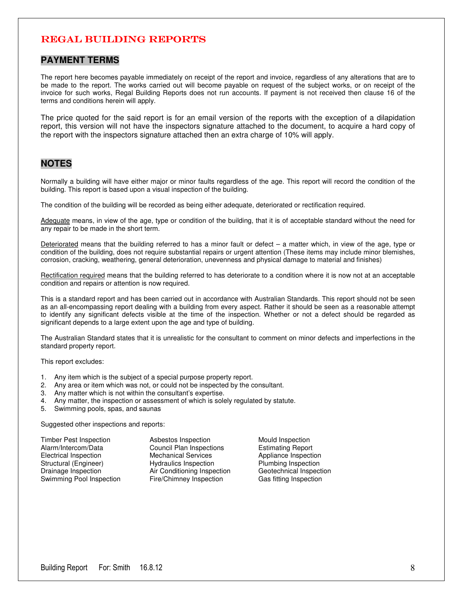#### **PAYMENT TERMS**

The report here becomes payable immediately on receipt of the report and invoice, regardless of any alterations that are to be made to the report. The works carried out will become payable on request of the subject works, or on receipt of the invoice for such works, Regal Building Reports does not run accounts. If payment is not received then clause 16 of the terms and conditions herein will apply.

The price quoted for the said report is for an email version of the reports with the exception of a dilapidation report, this version will not have the inspectors signature attached to the document, to acquire a hard copy of the report with the inspectors signature attached then an extra charge of 10% will apply.

### **NOTES**

Normally a building will have either major or minor faults regardless of the age. This report will record the condition of the building. This report is based upon a visual inspection of the building.

The condition of the building will be recorded as being either adequate, deteriorated or rectification required.

Adequate means, in view of the age, type or condition of the building, that it is of acceptable standard without the need for any repair to be made in the short term.

Deteriorated means that the building referred to has a minor fault or defect  $-$  a matter which, in view of the age, type or condition of the building, does not require substantial repairs or urgent attention (These items may include minor blemishes, corrosion, cracking, weathering, general deterioration, unevenness and physical damage to material and finishes)

Rectification required means that the building referred to has deteriorate to a condition where it is now not at an acceptable condition and repairs or attention is now required.

This is a standard report and has been carried out in accordance with Australian Standards. This report should not be seen as an all-encompassing report dealing with a building from every aspect. Rather it should be seen as a reasonable attempt to identify any significant defects visible at the time of the inspection. Whether or not a defect should be regarded as significant depends to a large extent upon the age and type of building.

The Australian Standard states that it is unrealistic for the consultant to comment on minor defects and imperfections in the standard property report.

This report excludes:

- 1. Any item which is the subject of a special purpose property report.
- 2. Any area or item which was not, or could not be inspected by the consultant.
- 3. Any matter which is not within the consultant's expertise.
- 4. Any matter, the inspection or assessment of which is solely regulated by statute.
- 5. Swimming pools, spas, and saunas

Suggested other inspections and reports:

Timber Pest Inspection **Asbestos Inspection** Mould Inspection<br>Alarm/Intercom/Data **Alaccess** Council Plan Inspections **Constanting Report** Alarm/Intercom/Data Council Plan Inspections Estimating Report<br>
Electrical Inspection Mechanical Services Appliance Inspection Electrical Inspection **Mechanical Services** Appliance Inspection<br>
Structural (Engineer) Hydraulics Inspection Plumbing Inspection Drainage Inspection Air Conditioning Inspection Geotechnical Inspection Swimming Pool Inspection Fire/Chimney Inspection Gas fitting Inspection

Hydraulics Inspection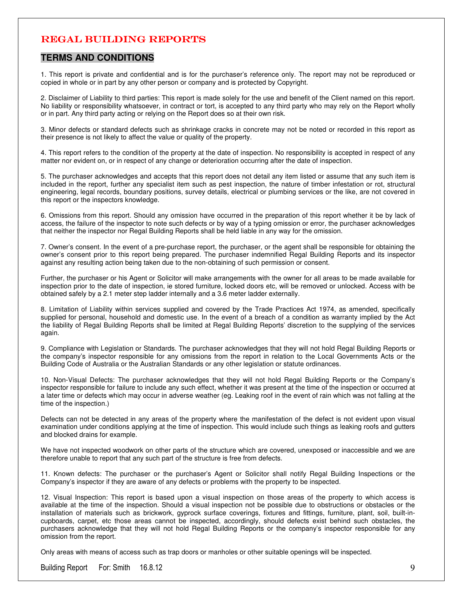#### **TERMS AND CONDITIONS**

1. This report is private and confidential and is for the purchaser's reference only. The report may not be reproduced or copied in whole or in part by any other person or company and is protected by Copyright.

2. Disclaimer of Liability to third parties: This report is made solely for the use and benefit of the Client named on this report. No liability or responsibility whatsoever, in contract or tort, is accepted to any third party who may rely on the Report wholly or in part. Any third party acting or relying on the Report does so at their own risk.

3. Minor defects or standard defects such as shrinkage cracks in concrete may not be noted or recorded in this report as their presence is not likely to affect the value or quality of the property.

4. This report refers to the condition of the property at the date of inspection. No responsibility is accepted in respect of any matter nor evident on, or in respect of any change or deterioration occurring after the date of inspection.

5. The purchaser acknowledges and accepts that this report does not detail any item listed or assume that any such item is included in the report, further any specialist item such as pest inspection, the nature of timber infestation or rot, structural engineering, legal records, boundary positions, survey details, electrical or plumbing services or the like, are not covered in this report or the inspectors knowledge.

6. Omissions from this report. Should any omission have occurred in the preparation of this report whether it be by lack of access, the failure of the inspector to note such defects or by way of a typing omission or error, the purchaser acknowledges that neither the inspector nor Regal Building Reports shall be held liable in any way for the omission.

7. Owner's consent. In the event of a pre-purchase report, the purchaser, or the agent shall be responsible for obtaining the owner's consent prior to this report being prepared. The purchaser indemnified Regal Building Reports and its inspector against any resulting action being taken due to the non-obtaining of such permission or consent.

Further, the purchaser or his Agent or Solicitor will make arrangements with the owner for all areas to be made available for inspection prior to the date of inspection, ie stored furniture, locked doors etc, will be removed or unlocked. Access with be obtained safely by a 2.1 meter step ladder internally and a 3.6 meter ladder externally.

8. Limitation of Liability within services supplied and covered by the Trade Practices Act 1974, as amended, specifically supplied for personal, household and domestic use. In the event of a breach of a condition as warranty implied by the Act the liability of Regal Building Reports shall be limited at Regal Building Reports' discretion to the supplying of the services again.

9. Compliance with Legislation or Standards. The purchaser acknowledges that they will not hold Regal Building Reports or the company's inspector responsible for any omissions from the report in relation to the Local Governments Acts or the Building Code of Australia or the Australian Standards or any other legislation or statute ordinances.

10. Non-Visual Defects: The purchaser acknowledges that they will not hold Regal Building Reports or the Company's inspector responsible for failure to include any such effect, whether it was present at the time of the inspection or occurred at a later time or defects which may occur in adverse weather (eg. Leaking roof in the event of rain which was not falling at the time of the inspection.)

Defects can not be detected in any areas of the property where the manifestation of the defect is not evident upon visual examination under conditions applying at the time of inspection. This would include such things as leaking roofs and gutters and blocked drains for example.

We have not inspected woodwork on other parts of the structure which are covered, unexposed or inaccessible and we are therefore unable to report that any such part of the structure is free from defects.

11. Known defects: The purchaser or the purchaser's Agent or Solicitor shall notify Regal Building Inspections or the Company's inspector if they are aware of any defects or problems with the property to be inspected.

12. Visual Inspection: This report is based upon a visual inspection on those areas of the property to which access is available at the time of the inspection. Should a visual inspection not be possible due to obstructions or obstacles or the installation of materials such as brickwork, gyprock surface coverings, fixtures and fittings, furniture, plant, soil, built-incupboards, carpet, etc those areas cannot be inspected, accordingly, should defects exist behind such obstacles, the purchasers acknowledge that they will not hold Regal Building Reports or the company's inspector responsible for any omission from the report.

Only areas with means of access such as trap doors or manholes or other suitable openings will be inspected.

Building Report For: Smith 16.8.12 9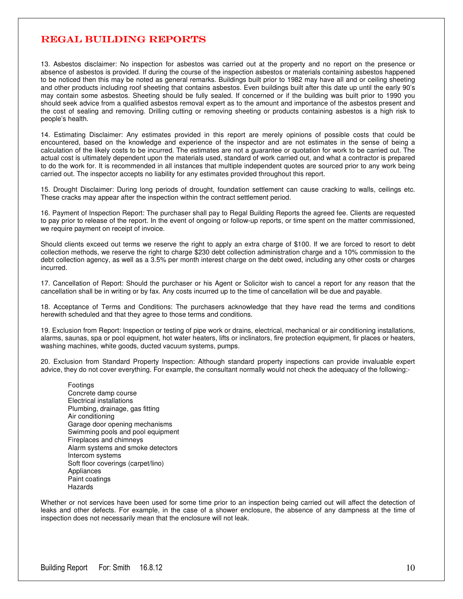13. Asbestos disclaimer: No inspection for asbestos was carried out at the property and no report on the presence or absence of asbestos is provided. If during the course of the inspection asbestos or materials containing asbestos happened to be noticed then this may be noted as general remarks. Buildings built prior to 1982 may have all and or ceiling sheeting and other products including roof sheeting that contains asbestos. Even buildings built after this date up until the early 90's may contain some asbestos. Sheeting should be fully sealed. If concerned or if the building was built prior to 1990 you should seek advice from a qualified asbestos removal expert as to the amount and importance of the asbestos present and the cost of sealing and removing. Drilling cutting or removing sheeting or products containing asbestos is a high risk to people's health.

14. Estimating Disclaimer: Any estimates provided in this report are merely opinions of possible costs that could be encountered, based on the knowledge and experience of the inspector and are not estimates in the sense of being a calculation of the likely costs to be incurred. The estimates are not a guarantee or quotation for work to be carried out. The actual cost is ultimately dependent upon the materials used, standard of work carried out, and what a contractor is prepared to do the work for. It is recommended in all instances that multiple independent quotes are sourced prior to any work being carried out. The inspector accepts no liability for any estimates provided throughout this report.

15. Drought Disclaimer: During long periods of drought, foundation settlement can cause cracking to walls, ceilings etc. These cracks may appear after the inspection within the contract settlement period.

16. Payment of Inspection Report: The purchaser shall pay to Regal Building Reports the agreed fee. Clients are requested to pay prior to release of the report. In the event of ongoing or follow-up reports, or time spent on the matter commissioned, we require payment on receipt of invoice.

Should clients exceed out terms we reserve the right to apply an extra charge of \$100. If we are forced to resort to debt collection methods, we reserve the right to charge \$230 debt collection administration charge and a 10% commission to the debt collection agency, as well as a 3.5% per month interest charge on the debt owed, including any other costs or charges incurred.

17. Cancellation of Report: Should the purchaser or his Agent or Solicitor wish to cancel a report for any reason that the cancellation shall be in writing or by fax. Any costs incurred up to the time of cancellation will be due and payable.

18. Acceptance of Terms and Conditions: The purchasers acknowledge that they have read the terms and conditions herewith scheduled and that they agree to those terms and conditions.

19. Exclusion from Report: Inspection or testing of pipe work or drains, electrical, mechanical or air conditioning installations, alarms, saunas, spa or pool equipment, hot water heaters, lifts or inclinators, fire protection equipment, fir places or heaters, washing machines, white goods, ducted vacuum systems, pumps.

20. Exclusion from Standard Property Inspection: Although standard property inspections can provide invaluable expert advice, they do not cover everything. For example, the consultant normally would not check the adequacy of the following:-

Footings Concrete damp course Electrical installations Plumbing, drainage, gas fitting Air conditioning Garage door opening mechanisms Swimming pools and pool equipment Fireplaces and chimneys Alarm systems and smoke detectors Intercom systems Soft floor coverings (carpet/lino) Appliances Paint coatings Hazards

Whether or not services have been used for some time prior to an inspection being carried out will affect the detection of leaks and other defects. For example, in the case of a shower enclosure, the absence of any dampness at the time of inspection does not necessarily mean that the enclosure will not leak.